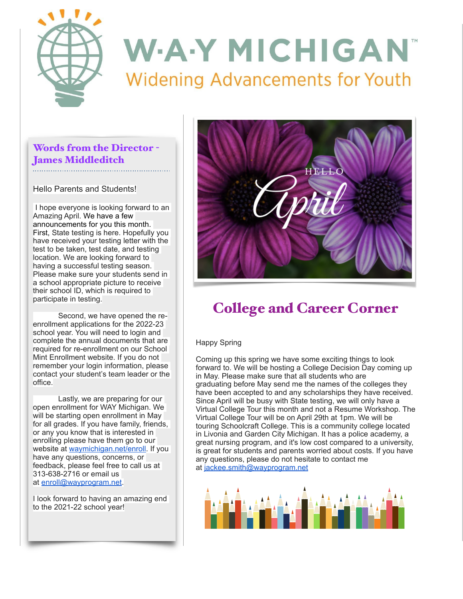

## Words from the Director - James Middleditch

Hello Parents and Students!

I hope everyone is looking forward to an Amazing April. We have a few announcements for you this month. First, State testing is here. Hopefully you have received your testing letter with the test to be taken, test date, and testing location. We are looking forward to having a successful testing season. Please make sure your students send in a school appropriate picture to receive their school ID, which is required to participate in testing.

 Second, we have opened the reenrollment applications for the 2022-23 school year. You will need to login and complete the annual documents that are required for re-enrollment on our School Mint Enrollment website. If you do not remember your login information, please contact your student's team leader or the office.

 Lastly, we are preparing for our open enrollment for WAY Michigan. We will be starting open enrollment in May for all grades. If you have family, friends, or any you know that is interested in enrolling please have them go to our website at [waymichigan.net/enroll](http://waymichigan.net/enroll). If you have any questions, concerns, or feedback, please feel free to call us at 313-638-2716 or email us at [enroll@wayprogram.net](mailto:enroll@wayprogram.net).

I look forward to having an amazing end to the 2021-22 school year!



## College and Career Corner

### Happy Spring

Coming up this spring we have some exciting things to look forward to. We will be hosting a College Decision Day coming up in May. Please make sure that all students who are graduating before May send me the names of the colleges they have been accepted to and any scholarships they have received. Since April will be busy with State testing, we will only have a Virtual College Tour this month and not a Resume Workshop. The Virtual College Tour will be on April 29th at 1pm. We will be touring Schoolcraft College. This is a community college located in Livonia and Garden City Michigan. It has a police academy, a great nursing program, and it's low cost compared to a university, is great for students and parents worried about costs. If you have any questions, please do not hesitate to contact me at [jackee.smith@wayprogram.net](mailto:jackee.smith@wayprogram.net)